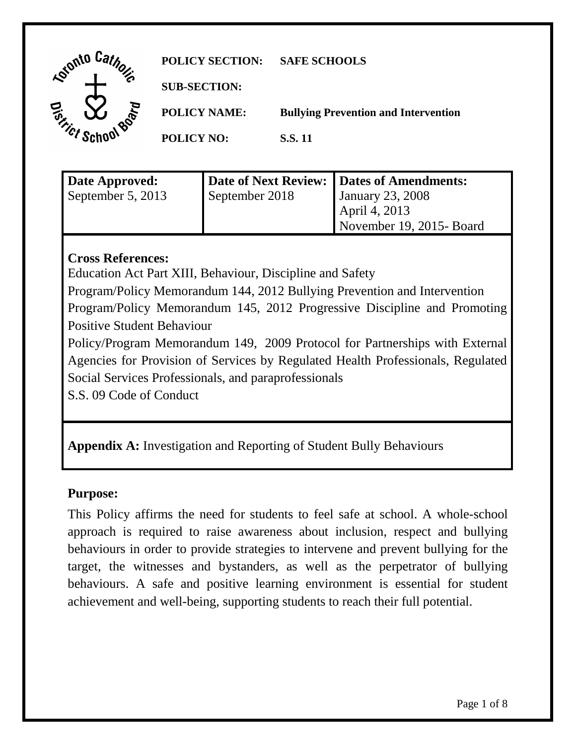| Lointo Car                                 | <b>POLICY SECTION:</b> | <b>SAFE SCHOOLS</b>                         |
|--------------------------------------------|------------------------|---------------------------------------------|
|                                            | <b>SUB-SECTION:</b>    |                                             |
| $\boldsymbol{\widehat{\mathsf{v}}}$<br>ROP | <b>POLICY NAME:</b>    | <b>Bullying Prevention and Intervention</b> |
|                                            | <b>POLICY NO:</b>      | <b>S.S.11</b>                               |
|                                            |                        |                                             |

| Date Approved:    |                | Date of Next Review: Dates of Amendments: |
|-------------------|----------------|-------------------------------------------|
| September 5, 2013 | September 2018 | January 23, 2008                          |
|                   |                | April 4, 2013                             |
|                   |                | November 19, 2015-Board                   |

## **Cross References:**

Education Act Part XIII, Behaviour, Discipline and Safety

Program/Policy Memorandum 144, 2012 Bullying Prevention and Intervention Program/Policy Memorandum 145, 2012 Progressive Discipline and Promoting

Positive Student Behaviour

Policy/Program Memorandum 149, 2009 Protocol for Partnerships with External Agencies for Provision of Services by Regulated Health Professionals, Regulated Social Services Professionals, and paraprofessionals

S.S. 09 Code of Conduct

**Appendix A:** Investigation and Reporting of Student Bully Behaviours

# **Purpose:**

This Policy affirms the need for students to feel safe at school. A whole-school approach is required to raise awareness about inclusion, respect and bullying behaviours in order to provide strategies to intervene and prevent bullying for the target, the witnesses and bystanders, as well as the perpetrator of bullying behaviours. A safe and positive learning environment is essential for student achievement and well-being, supporting students to reach their full potential.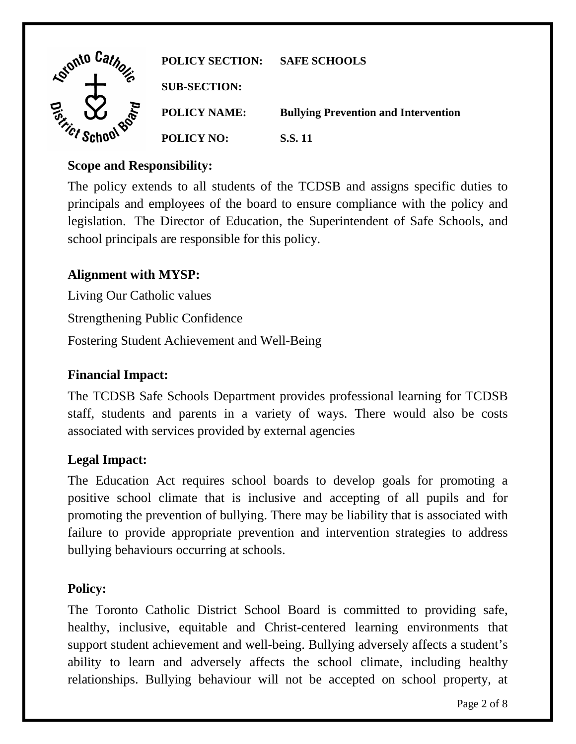| Into C <sub>2</sub>               | <b>POLICY SECTION:</b> | <b>SAFE SCHOOLS</b>                         |
|-----------------------------------|------------------------|---------------------------------------------|
|                                   | <b>SUB-SECTION:</b>    |                                             |
|                                   | <b>POLICY NAME:</b>    | <b>Bullying Prevention and Intervention</b> |
| $\gamma_{\scriptscriptstyle C}$ r | <b>POLICY NO:</b>      | <b>S.S. 11</b>                              |

## **Scope and Responsibility:**

The policy extends to all students of the TCDSB and assigns specific duties to principals and employees of the board to ensure compliance with the policy and legislation. The Director of Education, the Superintendent of Safe Schools, and school principals are responsible for this policy.

## **Alignment with MYSP:**

Living Our Catholic values Strengthening Public Confidence

Fostering Student Achievement and Well-Being

## **Financial Impact:**

The TCDSB Safe Schools Department provides professional learning for TCDSB staff, students and parents in a variety of ways. There would also be costs associated with services provided by external agencies

## **Legal Impact:**

The Education Act requires school boards to develop goals for promoting a positive school climate that is inclusive and accepting of all pupils and for promoting the prevention of bullying. There may be liability that is associated with failure to provide appropriate prevention and intervention strategies to address bullying behaviours occurring at schools.

#### **Policy:**

The Toronto Catholic District School Board is committed to providing safe, healthy, inclusive, equitable and Christ-centered learning environments that support student achievement and well-being. Bullying adversely affects a student's ability to learn and adversely affects the school climate, including healthy relationships. Bullying behaviour will not be accepted on school property, at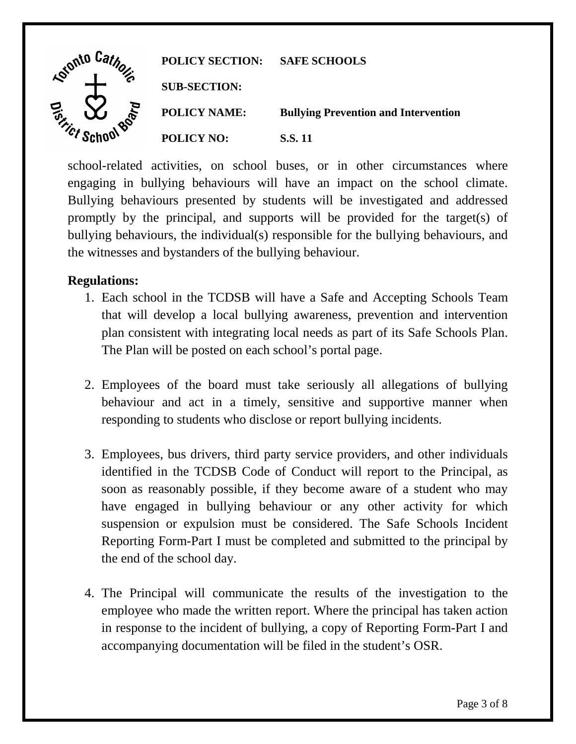

school-related activities, on school buses, or in other circumstances where engaging in bullying behaviours will have an impact on the school climate. Bullying behaviours presented by students will be investigated and addressed promptly by the principal, and supports will be provided for the target(s) of bullying behaviours, the individual(s) responsible for the bullying behaviours, and the witnesses and bystanders of the bullying behaviour.

## **Regulations:**

- 1. Each school in the TCDSB will have a Safe and Accepting Schools Team that will develop a local bullying awareness, prevention and intervention plan consistent with integrating local needs as part of its Safe Schools Plan. The Plan will be posted on each school's portal page.
- 2. Employees of the board must take seriously all allegations of bullying behaviour and act in a timely, sensitive and supportive manner when responding to students who disclose or report bullying incidents.
- 3. Employees, bus drivers, third party service providers, and other individuals identified in the TCDSB Code of Conduct will report to the Principal, as soon as reasonably possible, if they become aware of a student who may have engaged in bullying behaviour or any other activity for which suspension or expulsion must be considered. The Safe Schools Incident Reporting Form-Part I must be completed and submitted to the principal by the end of the school day.
- 4. The Principal will communicate the results of the investigation to the employee who made the written report. Where the principal has taken action in response to the incident of bullying, a copy of Reporting Form-Part I and accompanying documentation will be filed in the student's OSR.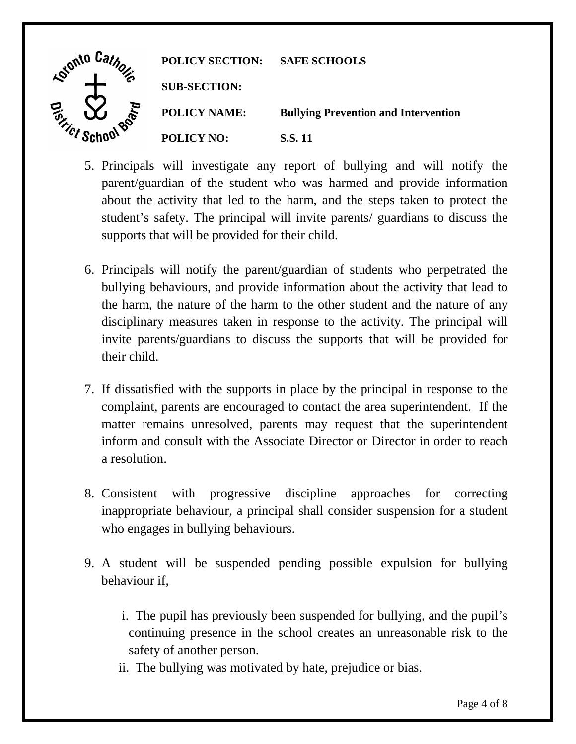| <b>Adonto</b>                    | <b>POLICY SECTION:</b> | <b>SAFE SCHOOLS</b>                         |
|----------------------------------|------------------------|---------------------------------------------|
| a                                | <b>SUB-SECTION:</b>    |                                             |
|                                  | <b>POLICY NAME:</b>    | <b>Bullying Prevention and Intervention</b> |
| $\gamma_{\mathcal{C}f}^{\prime}$ | <b>POLICY NO:</b>      | S.S. 11                                     |

- 5. Principals will investigate any report of bullying and will notify the parent/guardian of the student who was harmed and provide information about the activity that led to the harm, and the steps taken to protect the student's safety. The principal will invite parents/ guardians to discuss the supports that will be provided for their child.
- 6. Principals will notify the parent/guardian of students who perpetrated the bullying behaviours, and provide information about the activity that lead to the harm, the nature of the harm to the other student and the nature of any disciplinary measures taken in response to the activity. The principal will invite parents/guardians to discuss the supports that will be provided for their child.
- 7. If dissatisfied with the supports in place by the principal in response to the complaint, parents are encouraged to contact the area superintendent. If the matter remains unresolved, parents may request that the superintendent inform and consult with the Associate Director or Director in order to reach a resolution.
- 8. Consistent with progressive discipline approaches for correcting inappropriate behaviour, a principal shall consider suspension for a student who engages in bullying behaviours.
- 9. A student will be suspended pending possible expulsion for bullying behaviour if,
	- i. The pupil has previously been suspended for bullying, and the pupil's continuing presence in the school creates an unreasonable risk to the safety of another person.
	- ii. The bullying was motivated by hate, prejudice or bias.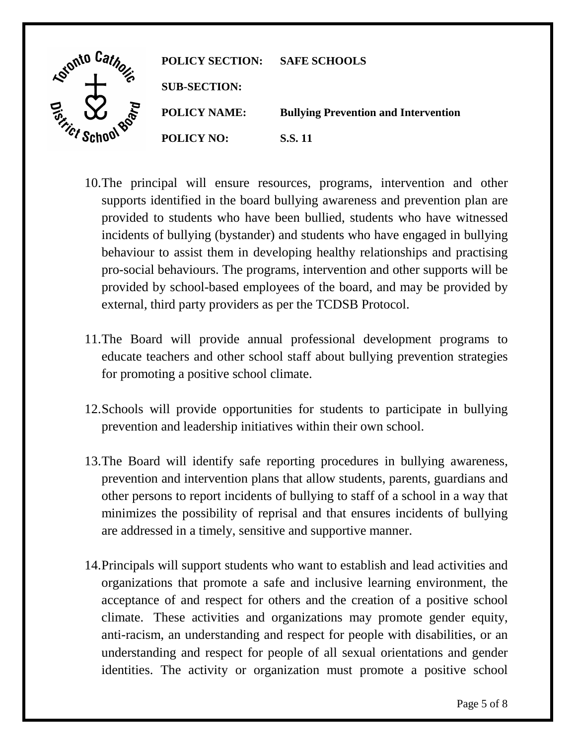| <b>Kointo</b> ' | <b>POLICY SECTION:</b> | <b>SAFE SCHOOLS</b>                         |
|-----------------|------------------------|---------------------------------------------|
|                 | <b>SUB-SECTION:</b>    |                                             |
| ace             | <b>POLICY NAME:</b>    | <b>Bullying Prevention and Intervention</b> |
| $\gamma_{cr}$   | <b>POLICY NO:</b>      | <b>S.S.11</b>                               |

- 10.The principal will ensure resources, programs, intervention and other supports identified in the board bullying awareness and prevention plan are provided to students who have been bullied, students who have witnessed incidents of bullying (bystander) and students who have engaged in bullying behaviour to assist them in developing healthy relationships and practising pro-social behaviours. The programs, intervention and other supports will be provided by school-based employees of the board, and may be provided by external, third party providers as per the TCDSB Protocol.
- 11.The Board will provide annual professional development programs to educate teachers and other school staff about bullying prevention strategies for promoting a positive school climate.
- 12.Schools will provide opportunities for students to participate in bullying prevention and leadership initiatives within their own school.
- 13.The Board will identify safe reporting procedures in bullying awareness, prevention and intervention plans that allow students, parents, guardians and other persons to report incidents of bullying to staff of a school in a way that minimizes the possibility of reprisal and that ensures incidents of bullying are addressed in a timely, sensitive and supportive manner.
- 14.Principals will support students who want to establish and lead activities and organizations that promote a safe and inclusive learning environment, the acceptance of and respect for others and the creation of a positive school climate. These activities and organizations may promote gender equity, anti-racism, an understanding and respect for people with disabilities, or an understanding and respect for people of all sexual orientations and gender identities. The activity or organization must promote a positive school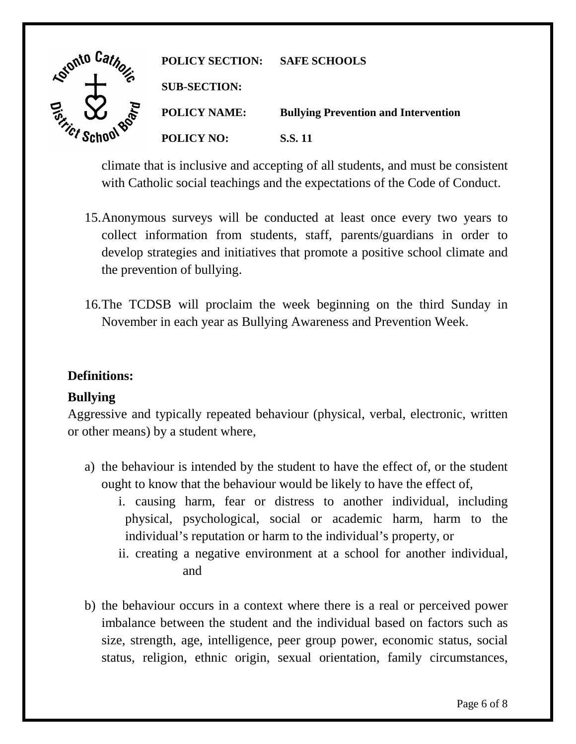

climate that is inclusive and accepting of all students, and must be consistent with Catholic social teachings and the expectations of the Code of Conduct.

- 15.Anonymous surveys will be conducted at least once every two years to collect information from students, staff, parents/guardians in order to develop strategies and initiatives that promote a positive school climate and the prevention of bullying.
- 16.The TCDSB will proclaim the week beginning on the third Sunday in November in each year as Bullying Awareness and Prevention Week.

## **Definitions:**

# **Bullying**

Aggressive and typically repeated behaviour (physical, verbal, electronic, written or other means) by a student where,

- a) the behaviour is intended by the student to have the effect of, or the student ought to know that the behaviour would be likely to have the effect of,
	- i. causing harm, fear or distress to another individual, including physical, psychological, social or academic harm, harm to the individual's reputation or harm to the individual's property, or
	- ii. creating a negative environment at a school for another individual, and
- b) the behaviour occurs in a context where there is a real or perceived power imbalance between the student and the individual based on factors such as size, strength, age, intelligence, peer group power, economic status, social status, religion, ethnic origin, sexual orientation, family circumstances,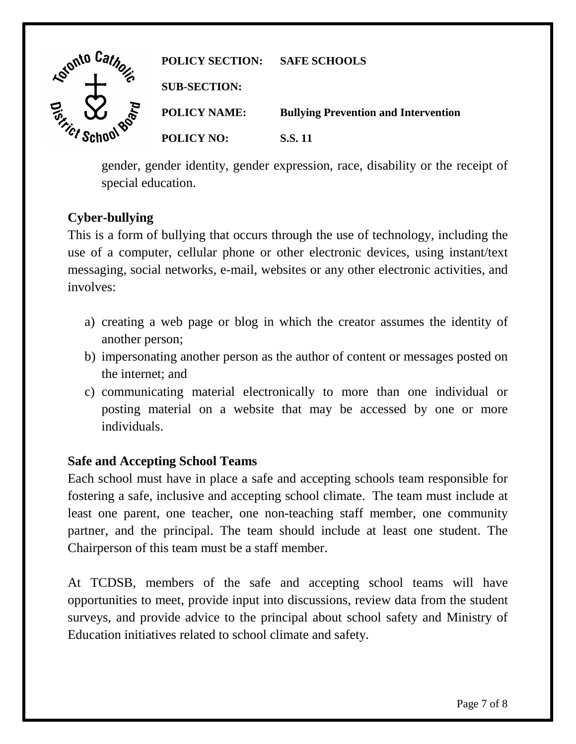| <b>Agionto</b>                           | <b>POLICY SECTION:</b> | <b>SAFE SCHOOLS</b>                         |
|------------------------------------------|------------------------|---------------------------------------------|
|                                          | <b>SUB-SECTION:</b>    |                                             |
|                                          | <b>POLICY NAME:</b>    | <b>Bullying Prevention and Intervention</b> |
| $\gamma_{\mathcal{C}f}^{\phantom{\dag}}$ | <b>POLICY NO:</b>      | S.S. 11                                     |

gender, gender identity, gender expression, race, disability or the receipt of special education.

# **Cyber-bullying**

This is a form of bullying that occurs through the use of technology, including the use of a computer, cellular phone or other electronic devices, using instant/text messaging, social networks, e-mail, websites or any other electronic activities, and involves:

- a) creating a web page or blog in which the creator assumes the identity of another person;
- b) impersonating another person as the author of content or messages posted on the internet; and
- c) communicating material electronically to more than one individual or posting material on a website that may be accessed by one or more individuals.

# **Safe and Accepting School Teams**

Each school must have in place a safe and accepting schools team responsible for fostering a safe, inclusive and accepting school climate. The team must include at least one parent, one teacher, one non-teaching staff member, one community partner, and the principal. The team should include at least one student. The Chairperson of this team must be a staff member.

At TCDSB, members of the safe and accepting school teams will have opportunities to meet, provide input into discussions, review data from the student surveys, and provide advice to the principal about school safety and Ministry of Education initiatives related to school climate and safety.